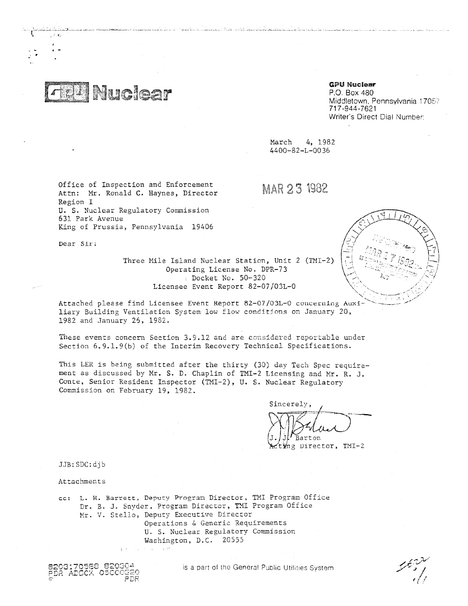**Nuclear** 

# **GPU Nuclear**

P.O. Box 480 Middletown, Pennsylvania 17057 71 7 -944-7621 Writer's Direct Dial Number:

---

March 4, 1982 4400-82-L-0036

Office of Inspection and Enforcement Attn: Mr. Ronald C. Haynes, Director Region I U. S. Nuclear Regulatory Commission 631 Park Avenue King of Prussia, Pennsylvania 19406

MAR 23 1982

Dear Sir;

ر€ کی

Three Mile Island Nuclear Station, Unit 2 (TMI-2) Operating License No. DPR-73 Docket No. 50-320 Licensee Event Report 82-07/03L-0

tin sin sin na historia a 1998. An comhad den sin na h-Alba e 1990.

Attached please find Licensee Event Report 82-07/03L-0 concerning Auxiliary Building Ventilation System low flow conditions on January 20, 1982 and January 25, 1982.

These events concern Section 3.9.12 and are considered reportable under Section 6.9.1.9(b) of the Interim Recovery Technical Specifications.

This LER is being submitted after the thirty (30) day Tech Spec requirement as discussed by Mr. S. D. Chaplin of TMI-2 Licensing and Mr. R. J. Conte, Senior Resident Inspector (TMI-2), U. S. Nuclear Regulatory Commission on February 19, 1982.

Sincerely, Rarton

 $\frac{1}{2}$ ng Director, TMI-2

JJB:SDC:djb

Attachments

cc: L. H. Barrett, Deputy Program Director, TMI Program Office Dr. B. J. Snyder, Program Director, TMI Program Office Mr. V. Stello, Deputy Executive Director Operations & Generic Requirements U. S. Nuclear Regulatory Commission Washington, D.C. 20555 ing a v

8203170588 820304<br>PDR ADOCK 05000<u>G2</u>9 PDF. is a part of the General Public Utilities System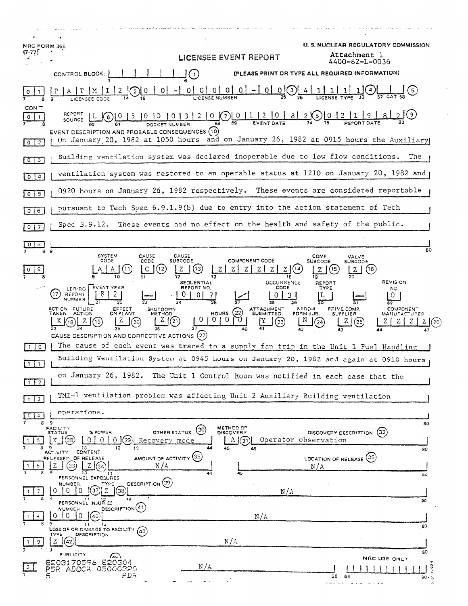| <b>NRC FORM 366</b><br>$(7-77)$ |                                                                                                                                                                                                                                                                                                                                                                                                                                                                                                                                          | <b>LICENSEE EVENT REPORT</b>                                                                                                    | <b>U. S. NUCLEAR REGULATORY COMMISSION</b><br>Attachment 1<br>4400-82-L-0036                              |
|---------------------------------|------------------------------------------------------------------------------------------------------------------------------------------------------------------------------------------------------------------------------------------------------------------------------------------------------------------------------------------------------------------------------------------------------------------------------------------------------------------------------------------------------------------------------------------|---------------------------------------------------------------------------------------------------------------------------------|-----------------------------------------------------------------------------------------------------------|
|                                 | CONTROL BLOCK:                                                                                                                                                                                                                                                                                                                                                                                                                                                                                                                           | $\blacksquare$                                                                                                                  | (PLEASE PRINT OR TYPE ALL REQUIRED INFORMATION)                                                           |
|                                 |                                                                                                                                                                                                                                                                                                                                                                                                                                                                                                                                          | $0$   $0$  <br>$0 \mid 0$<br>0<br>01<br>LICENSE NUMBER                                                                          | $\left(3\right)$                                                                                          |
| CON'T<br>0                      | (9)<br>REPORT<br>$2   0 (\binom{7}{2}   0   1   2   0$<br>-8 J<br>$2$ (8)   0   2<br>SOURCE<br>EVENT DESCRIPTION AND PROBABLE CONSEQUENCES (10)                                                                                                                                                                                                                                                                                                                                                                                          |                                                                                                                                 |                                                                                                           |
| $\boxed{0}$ $\boxed{2}$         | On January 20, 1982 at 1050 hours and on January 26, 1982 at 0915 hours the Auxiliary                                                                                                                                                                                                                                                                                                                                                                                                                                                    |                                                                                                                                 |                                                                                                           |
| O  <br>3                        | Building ventilation system was declared inoperable due to low flow conditions.<br>The                                                                                                                                                                                                                                                                                                                                                                                                                                                   |                                                                                                                                 |                                                                                                           |
| 0 <sup>14</sup>                 |                                                                                                                                                                                                                                                                                                                                                                                                                                                                                                                                          |                                                                                                                                 | ventilation system was restored to an operable status at 1210 on January 20, 1982 and                     |
| $0$   5                         | 0920 hours on January 26, 1982 respectively. These events are considered reportable                                                                                                                                                                                                                                                                                                                                                                                                                                                      |                                                                                                                                 |                                                                                                           |
| $0$ 6                           | pursuant to Tech Spec 6.9.1.9(b) due to entry into the action statement of Tech                                                                                                                                                                                                                                                                                                                                                                                                                                                          |                                                                                                                                 |                                                                                                           |
| $0$   7                         | Spec 3.9.12.                                                                                                                                                                                                                                                                                                                                                                                                                                                                                                                             | These events had no effect on the health and safety of the public.                                                              |                                                                                                           |
| 8                               |                                                                                                                                                                                                                                                                                                                                                                                                                                                                                                                                          |                                                                                                                                 |                                                                                                           |
| 8                               | 9<br><b>SYSTEM</b><br>CAUSE<br>CODE<br>CODE<br>$[12]$                                                                                                                                                                                                                                                                                                                                                                                                                                                                                    | <b>CAUSE</b><br><b>COMPONENT CODE</b><br>SUBCODE<br>$\left\lfloor 13 \right\rfloor$<br>Ζl<br><b>Z</b> J<br>Z.<br>$Z \mid$<br>Z. | 80<br>COMP.<br>VALVE<br>SUBCODE<br><b>SUBCODE</b><br>Z 1(14)<br>(15<br>(16 )<br>z<br>z<br><b>REVISION</b> |
|                                 | <b>OCCURRENCE</b><br><b>SEQUENTIAL</b><br>REPORT<br>CODE<br>EVENT YEAR<br>REPORT NO.<br><b>TYPE</b><br>NO.<br>LER/RO<br>17<br>REPORT<br>Ð<br>0<br>0<br><b>NUMBER</b><br>ACTION FUTURE<br>ATTACHMENT<br>SUBMITTED<br>NPRD-4<br>PRIME COMP.<br><b>COMPONENT</b><br><b>EFFECT</b><br><b>SHUTDOWN</b><br>HOURS $(22)$<br>ON PLANT<br><b>ACTION</b><br>TAKEN<br>METHOD<br>FORM SUB.<br><b>SUPPLIER</b><br>MANUFACTURER<br>$\overline{0}$<br>0<br>0<br>$^{(21)}$<br>z<br>19<br>20<br>25<br>23<br>CAUSE DESCRIPTION AND CORRECTIVE ACTIONS (27) |                                                                                                                                 |                                                                                                           |
| $\Omega$                        | The cause of each event was traced to a supply fan trip in the Unit 1 Fuel Handling                                                                                                                                                                                                                                                                                                                                                                                                                                                      |                                                                                                                                 |                                                                                                           |
| -1.                             | Building Ventilation System at 0945 hours on January 20, 1982 and again at 0910 hours                                                                                                                                                                                                                                                                                                                                                                                                                                                    |                                                                                                                                 |                                                                                                           |
| -2<br>-11                       |                                                                                                                                                                                                                                                                                                                                                                                                                                                                                                                                          | on January 26, 1982. The Unit 1 Control Room was notified in each case that the                                                 |                                                                                                           |
| $1 \mid 3$                      | TMI-1 ventilation problem was affecting Unit 2 Auxiliary Building ventilation                                                                                                                                                                                                                                                                                                                                                                                                                                                            |                                                                                                                                 |                                                                                                           |
|                                 | operations.                                                                                                                                                                                                                                                                                                                                                                                                                                                                                                                              |                                                                                                                                 |                                                                                                           |
| 8<br>5.                         | - 9<br>FACILITY<br>STATUS<br>% POWER<br>$0 0$ $(29)$<br>$\mathbf x$<br>1(28)<br>0 <sup>1</sup><br>Recovery mode<br>12<br>13                                                                                                                                                                                                                                                                                                                                                                                                              | METHOD OF<br>$^{(30)}$<br>OTHER STATUS<br><b>DISCOVERY</b><br>$A$ $(31)$<br>45<br>46                                            | 80<br>DISCOVERY DESCRIPTION (32)<br>Operator observation                                                  |
|                                 | CONTENT<br>ACTIVITY<br>AMOUNT OF ACTIVITY (35)<br>RELEASED OF RELEASE<br>33<br>N/A<br>10<br>11                                                                                                                                                                                                                                                                                                                                                                                                                                           | 44<br>45                                                                                                                        | 80<br>LOCATION OF RELEASE (36)<br>N/A<br>80                                                               |
|                                 | PERSONNEL EXPOSURES<br>DESCRIPTION (39)<br>NUMBER.<br>TYPE<br>(38)<br>0<br>13<br>PERSONNEL INJURIES                                                                                                                                                                                                                                                                                                                                                                                                                                      | N/A                                                                                                                             | 80                                                                                                        |
| 8                               | DESCRIPTION <sup>(41)</sup><br>NUMBER<br>Ω<br>∩<br>$\Omega$<br>'40'<br>-11<br>12<br>LOSS OF OR DAMAGE TO FACILITY (43)                                                                                                                                                                                                                                                                                                                                                                                                                   | N/A                                                                                                                             | 80                                                                                                        |
|                                 | <b>DESCRIPTION</b><br>TYPE<br>z<br>$\sqrt{42}$                                                                                                                                                                                                                                                                                                                                                                                                                                                                                           | N/A                                                                                                                             |                                                                                                           |
|                                 | PUBLICITY<br>$\sum$<br>8203170596 820304<br>PDR ADOCX 05000320<br>S<br>FDR                                                                                                                                                                                                                                                                                                                                                                                                                                                               | N/A                                                                                                                             | 80<br>NRC USE ONLY<br>58<br>69<br>$30 - 5$                                                                |
|                                 | $\tilde{\phantom{a}}$                                                                                                                                                                                                                                                                                                                                                                                                                                                                                                                    |                                                                                                                                 | a san ar ann an                                                                                           |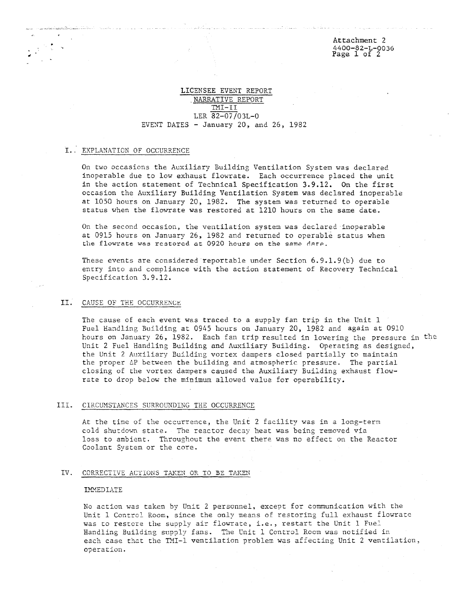## LICENSEE EVENT REPORT ,NARRATIVE REPORT TMI-II LER 82-07/03L-0 EVENT DATES - January 20, and 26, 1982

### I.: EXPLANATION OF OCCURRENCE

On two occasions the Auxiliary Building Ventilation System was declared inoperable due to low exhaust flowrate. Each occurrence placed the unit in the action statement of Technical Specification 3.9.12. On the first occasion the Auxiliary Building Ventilation System was declared inoperable at 1050 hours on January 20, 1982. The system was returned to operable status when the flowrate was restored at 1210 hours on the same date.

On the second occasion, the ventilation system was declared inoperable at 0915 hours on January 26, 1982 and returned to operable status when the flowrate was restored at 0920 hours on the same date.

These events are considered reportable under Section 6.9.1.9(b) due to entry into and compliance with the action statement of Recovery Technical Specification 3.9.12.

### II. CAUSE OF THE OCCURRENCE

The cause of each event was traced to a supply fan trip in the Unit 1 Fuel Handling Building at 0945 hours on January 20, 1982 and again at 0910 hours on January 26, 1982. Each fan trip resulted in lowering the pressure in the Unit 2 Fuel Handling Building and Auxiliary Building. Operating as designed, the Unit 2 Auxiliary Building vortex dampers closed partially to maintain the proper GP between the building and atmospheric pressure. The partial closing of the vortex dampers caused the Auxiliary Building exhaust flowrate to drop below the minimum allowed value for operability.

#### III. CIRCUMSTANCES SURROUNDING THE OCCURRENCE

At the time of the occurrence, the Unit 2 facility was in a long-term cold shutdown state. The reactor decay heat was being removed via loss to ambient. Throughout the event there was no effect on the Reactor Coolant System or the core.

#### IV. CORRECTIVE ACTIONS TAKEN OR TO BE TAKEN

#### **IMMEDIATE**

No action was taken by Unit 2 personnel, except for communication with the Unit 1 Control Room, since the only means of restoring full exhaust flowrate was to restore the supply air flowrate, i.e., restart the Unit 1 Fuel Handling Building supply fans. The Unit 1 Control Room was notified in each case that the YMI-1 ventilation problem was affecting Unit 2 ventilation, operation.